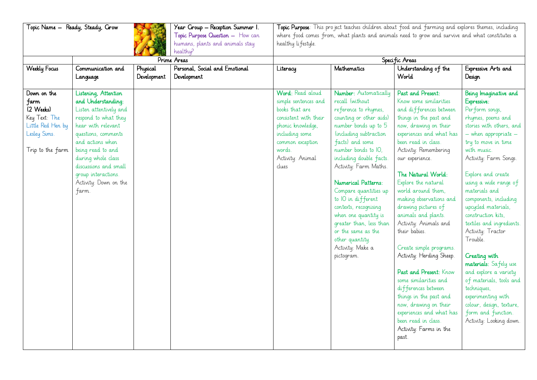| Topic Name – Ready, Steady, Grow                                                                           |                                                                                                                                                                                                                                                                                            |                         | Year Group - Reception Summer I.<br>Topic Purpose Question - How can<br>humans, plants and animals stay<br>healthy? | Topic Purpose: This pro ject teaches children about food and farming and explores themes, including<br>where food comes from, what plants and animals need to grow and survive and what constitutes a<br>healthy lifestyle. |                                                                                                                                                                                                                                                                                                                                                                                                                                                                          |                                                                                                                                                                                                                                                                                                                                                                                                                                                                                                                                                                                                                                                                                          |                                                                                                                                                                                                                                                                                                                                                                                                                                                                                                                                                                                                                    |  |
|------------------------------------------------------------------------------------------------------------|--------------------------------------------------------------------------------------------------------------------------------------------------------------------------------------------------------------------------------------------------------------------------------------------|-------------------------|---------------------------------------------------------------------------------------------------------------------|-----------------------------------------------------------------------------------------------------------------------------------------------------------------------------------------------------------------------------|--------------------------------------------------------------------------------------------------------------------------------------------------------------------------------------------------------------------------------------------------------------------------------------------------------------------------------------------------------------------------------------------------------------------------------------------------------------------------|------------------------------------------------------------------------------------------------------------------------------------------------------------------------------------------------------------------------------------------------------------------------------------------------------------------------------------------------------------------------------------------------------------------------------------------------------------------------------------------------------------------------------------------------------------------------------------------------------------------------------------------------------------------------------------------|--------------------------------------------------------------------------------------------------------------------------------------------------------------------------------------------------------------------------------------------------------------------------------------------------------------------------------------------------------------------------------------------------------------------------------------------------------------------------------------------------------------------------------------------------------------------------------------------------------------------|--|
|                                                                                                            | Prime Areas                                                                                                                                                                                                                                                                                |                         |                                                                                                                     | Specific Areas                                                                                                                                                                                                              |                                                                                                                                                                                                                                                                                                                                                                                                                                                                          |                                                                                                                                                                                                                                                                                                                                                                                                                                                                                                                                                                                                                                                                                          |                                                                                                                                                                                                                                                                                                                                                                                                                                                                                                                                                                                                                    |  |
| <b>Weekly Focus</b>                                                                                        | Communication and<br>Language                                                                                                                                                                                                                                                              | Physical<br>Development | Personal, Social and Emotional<br>Development                                                                       | Literacy                                                                                                                                                                                                                    | Mathematics                                                                                                                                                                                                                                                                                                                                                                                                                                                              | Understanding of the<br>World                                                                                                                                                                                                                                                                                                                                                                                                                                                                                                                                                                                                                                                            | Expressive Arts and<br>Design                                                                                                                                                                                                                                                                                                                                                                                                                                                                                                                                                                                      |  |
| Down on the<br>farm<br>(2 Weeks)<br>Key Text: The<br>Little Red Hen by<br>Lesley Sims.<br>Trip to the farm | Listening, Attention<br>and Understanding:<br>Listen attentively and<br>respond to what they<br>hear with relevant<br>questions, comments<br>and actions when<br>being read to and<br>during whole class<br>discussions and small<br>group interactions.<br>Activity: Down on the<br>farm. |                         |                                                                                                                     | Word: Read aloud<br>simple sentences and<br>books that are<br>consistent with their<br>phonic knowledge,<br>including some<br>common exception<br>words.<br>Activity: Animal<br>dues                                        | Number: Automatically<br>recall (without<br>reference to rhymes,<br>counting or other aids)<br>number bonds up to 5<br>(including subtraction<br>facts) and some<br>number bonds to IO,<br>including double facts.<br>Activity: Farm Maths.<br>Numerical Patterns:<br>Compare quantities up<br>to IO in different<br>contexts, recognising<br>when one quantity is<br>greater than, less than<br>or the same as the<br>other quantity.<br>Activity: Make a<br>pictogram. | Past and Present:<br>Know some similarities<br>and differences between<br>things in the past and<br>now, drawing on their<br>experiences and what has<br>been read in class.<br>Activity: Remembering<br>our experience.<br>The Natural World:<br>Explore the natural<br>world around them.<br>making observations and<br>drawing pictures of<br>animals and plants.<br>Activity: Animals and<br>their babies.<br>Create simple programs.<br>Activity: Herding Sheep.<br>Past and Present: Know<br>some similarities and<br>differences between<br>things in the past and<br>now, drawing on their<br>experiences and what has<br>been read in class.<br>Activity: Farms in the<br>past. | Being Imaginative and<br>Expressive:<br>Perform songs,<br>rhymes, poems and<br>stories with others, and<br>- when appropriate -<br>try to move in time<br>with music.<br>Activity: Farm Songs.<br>Explore and create<br>using a wide range of<br>materials and<br>components, including<br>upcycled materials,<br>construction kits,<br>textiles and ingredients.<br>Activity: Tractor<br>Trouble.<br>Creating with<br>materials: Safely use<br>and explore a variety<br>of materials, tools and<br>techniques,<br>experimenting with<br>colour, design, texture,<br>form and function.<br>Activity: Looking down. |  |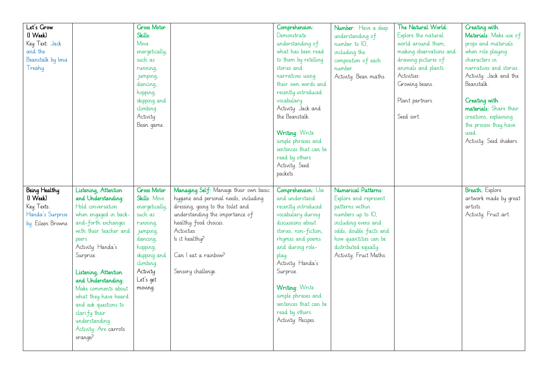| Let's Grow        |                        | <b>Ciross Motor</b> |                                       | Comprehension:        |                        | The Natural World:      | Creating with           |
|-------------------|------------------------|---------------------|---------------------------------------|-----------------------|------------------------|-------------------------|-------------------------|
|                   |                        |                     |                                       |                       | Number: Have a deep    |                         |                         |
| (I Week)          |                        | Skills:             |                                       | Demonstrate           | understanding of       | Explore the natural     | Materials: Make use of  |
| Key Text: Jack    |                        | Move                |                                       | understanding of      | number to IO,          | world around them,      | props and materials     |
| and the           |                        | energetically,      |                                       | what has been read    | including the          | making observations and | when role playing       |
| Beanstalk by lona |                        | such as             |                                       | to them by retelling  | composition of each    | drawing pictures of     | characters in           |
| Treahy            |                        | running,            |                                       | stories and           | number.                | animals and plants.     | narratives and stories. |
|                   |                        | jumping,            |                                       | narratives using      | Activity: Bean maths.  | Activities:             | Activity: Jack and the  |
|                   |                        | dancing,            |                                       | their own words and   |                        | Growing beans.          | Beanstalk.              |
|                   |                        | hopping,            |                                       | recently introduced   |                        |                         |                         |
|                   |                        | skipping and        |                                       | vocabulary.           |                        | Plant partners.         | Creating with           |
|                   |                        | dimbing.            |                                       | Activity: Jack and    |                        |                         | materials: Share their  |
|                   |                        | Activity:           |                                       | the Beanstalk.        |                        | Seed sort.              | creations, explaining   |
|                   |                        | Bean game.          |                                       |                       |                        |                         | the process they have   |
|                   |                        |                     |                                       | Writing: Write        |                        |                         | used                    |
|                   |                        |                     |                                       | simple phrases and    |                        |                         | Activity: Seed shakers. |
|                   |                        |                     |                                       | sentences that can be |                        |                         |                         |
|                   |                        |                     |                                       | read by others.       |                        |                         |                         |
|                   |                        |                     |                                       | Activity: Seed        |                        |                         |                         |
|                   |                        |                     |                                       | packets.              |                        |                         |                         |
|                   |                        |                     |                                       |                       |                        |                         |                         |
|                   |                        |                     |                                       |                       |                        |                         |                         |
|                   |                        |                     |                                       |                       |                        |                         |                         |
| Being Healthy     | Listening, Attention   | <b>Ciross Motor</b> | Managing Self: Manage their own basic | Comprehension: Use    | Numerical Patterns:    |                         | <b>Breath:</b> Explore  |
| (I Week)          | and Understanding:     | Skills: Move        | hygiene and personal needs, including | and understand        | Explore and represent  |                         | artwork made by great   |
| Key Texts:        | Hold conversation      | energetically,      | dressing, going to the toilet and     | recently introduced   | patterns within        |                         | artists.                |
| Handa's Surprise  | when engaged in back-  | such as             | understanding the importance of       | vocabulary during     | numbers up to IO,      |                         | Activity: Fruit art.    |
| by Eileen Browne  | and-forth exchanges    | running,            | healthy food choices.                 | discussions about     | including evens and    |                         |                         |
|                   | with their teacher and | jumping,            | Activities:                           | stories, non-fiction, | odds, double facts and |                         |                         |
|                   | peers.                 | dancing,            | Is it healthy?                        | rhymes and poems      | how quantities can be  |                         |                         |
|                   | Activity: Handa's      | hopping,            |                                       | and during role-      | distributed equally.   |                         |                         |
|                   | Surprise.              | skipping and        | Can I eat a rainbow?                  | play.                 | Activity: Fruit Maths. |                         |                         |
|                   |                        | dimbing.            |                                       | Activity: Handa's     |                        |                         |                         |
|                   | Listening, Attention   | Activity:           | Sensory challenge.                    | Surprise.             |                        |                         |                         |
|                   | and Understanding:     | Let's get           |                                       |                       |                        |                         |                         |
|                   | Make comments about    | moving.             |                                       | Writing: Write        |                        |                         |                         |
|                   | what they have heard   |                     |                                       | simple phrases and    |                        |                         |                         |
|                   | and ask questions to   |                     |                                       | sentences that can be |                        |                         |                         |
|                   |                        |                     |                                       | read by others.       |                        |                         |                         |
|                   | clarify their          |                     |                                       | Activity: Recipes.    |                        |                         |                         |
|                   | understanding.         |                     |                                       |                       |                        |                         |                         |
|                   | Activity: Are carrots  |                     |                                       |                       |                        |                         |                         |
|                   | orange?                |                     |                                       |                       |                        |                         |                         |